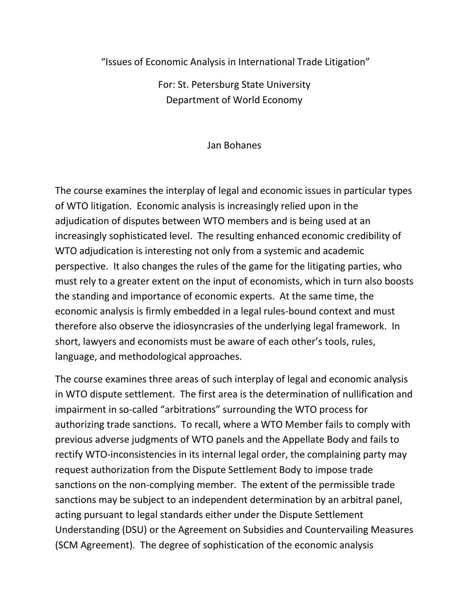"Issues of Economic Analysis in International Trade Litigation"

For: St. Petersburg State University Department of World Economy

## Jan Bohanes

The course examines the interplay of legal and economic issues in particular types of WTO litigation. Economic analysis is increasingly relied upon in the adjudication of disputes between WTO members and is being used at an increasingly sophisticated level. The resulting enhanced economic credibility of WTO adjudication is interesting not only from a systemic and academic perspective. It also changes the rules of the game for the litigating parties, who must rely to a greater extent on the input of economists, which in turn also boosts the standing and importance of economic experts. At the same time, the economic analysis is firmly embedded in a legal rules-bound context and must therefore also observe the idiosyncrasies of the underlying legal framework. In short, lawyers and economists must be aware of each other's tools, rules, language, and methodological approaches.

The course examines three areas of such interplay of legal and economic analysis in WTO dispute settlement. The first area is the determination of nullification and impairment in so-called "arbitrations" surrounding the WTO process for authorizing trade sanctions. To recall, where a WTO Member fails to comply with previous adverse judgments of WTO panels and the Appellate Body and fails to rectify WTO-inconsistencies in its internal legal order, the complaining party may request authorization from the Dispute Settlement Body to impose trade sanctions on the non-complying member. The extent of the permissible trade sanctions may be subject to an independent determination by an arbitral panel, acting pursuant to legal standards either under the Dispute Settlement Understanding (DSU) or the Agreement on Subsidies and Countervailing Measures (SCM Agreement). The degree of sophistication of the economic analysis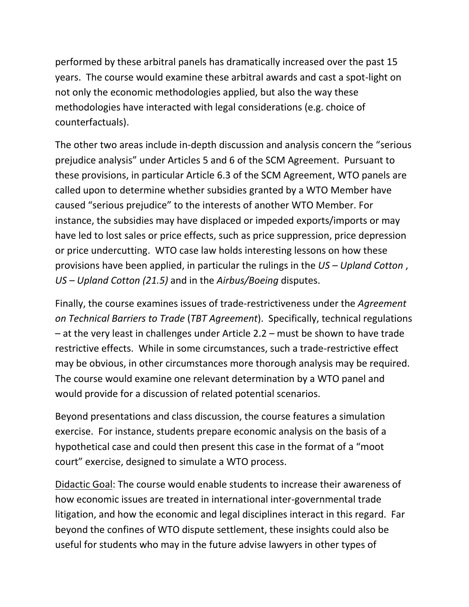performed by these arbitral panels has dramatically increased over the past 15 years. The course would examine these arbitral awards and cast a spot-light on not only the economic methodologies applied, but also the way these methodologies have interacted with legal considerations (e.g. choice of counterfactuals).

The other two areas include in-depth discussion and analysis concern the "serious prejudice analysis" under Articles 5 and 6 of the SCM Agreement. Pursuant to these provisions, in particular Article 6.3 of the SCM Agreement, WTO panels are called upon to determine whether subsidies granted by a WTO Member have caused "serious prejudice" to the interests of another WTO Member. For instance, the subsidies may have displaced or impeded exports/imports or may have led to lost sales or price effects, such as price suppression, price depression or price undercutting. WTO case law holds interesting lessons on how these provisions have been applied, in particular the rulings in the *US – Upland Cotton* , *US – Upland Cotton (21.5)* and in the *Airbus/Boeing* disputes.

Finally, the course examines issues of trade-restrictiveness under the *Agreement on Technical Barriers to Trade* (*TBT Agreement*). Specifically, technical regulations – at the very least in challenges under Article 2.2 – must be shown to have trade restrictive effects. While in some circumstances, such a trade-restrictive effect may be obvious, in other circumstances more thorough analysis may be required. The course would examine one relevant determination by a WTO panel and would provide for a discussion of related potential scenarios.

Beyond presentations and class discussion, the course features a simulation exercise. For instance, students prepare economic analysis on the basis of a hypothetical case and could then present this case in the format of a "moot court" exercise, designed to simulate a WTO process.

Didactic Goal: The course would enable students to increase their awareness of how economic issues are treated in international inter-governmental trade litigation, and how the economic and legal disciplines interact in this regard. Far beyond the confines of WTO dispute settlement, these insights could also be useful for students who may in the future advise lawyers in other types of